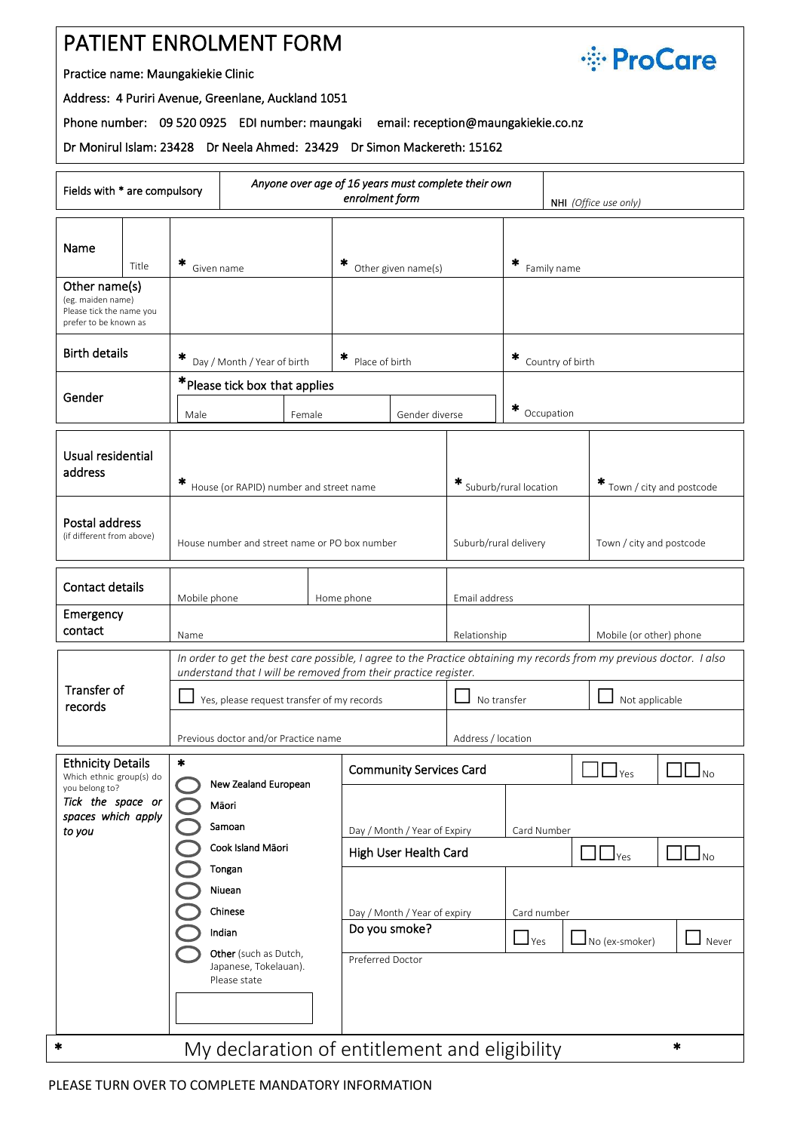## PATIENT ENROLMENT FORM



Practice name: Maungakiekie Clinic

Address: 4 Puriri Avenue, Greenlane, Auckland 1051

Phone number: 09 520 0925 EDI number: maungaki email: reception@maungakiekie.co.nz

Dr Monirul Islam: 23428 Dr Neela Ahmed: 23429 Dr Simon Mackereth: 15162

| Anyone over age of 16 years must complete their own<br>Fields with * are compulsory<br>enrolment form<br>NHI (Office use only) |       |                                                                                                                                                                                         |        |                                |                                                                   |                               |                                                                                                     |                   |     |
|--------------------------------------------------------------------------------------------------------------------------------|-------|-----------------------------------------------------------------------------------------------------------------------------------------------------------------------------------------|--------|--------------------------------|-------------------------------------------------------------------|-------------------------------|-----------------------------------------------------------------------------------------------------|-------------------|-----|
| Name                                                                                                                           | Title | ×<br>Given name                                                                                                                                                                         |        | *<br>Other given name(s)       |                                                                   | ∗<br>Family name              |                                                                                                     |                   |     |
| Other name(s)<br>(eg. maiden name)<br>Please tick the name you<br>prefer to be known as                                        |       |                                                                                                                                                                                         |        |                                |                                                                   |                               |                                                                                                     |                   |     |
| <b>Birth details</b>                                                                                                           |       | Day / Month / Year of birth                                                                                                                                                             |        |                                | * Place of birth                                                  |                               | ×<br>Country of birth                                                                               |                   |     |
| Gender                                                                                                                         |       | * Please tick box that applies                                                                                                                                                          |        |                                |                                                                   |                               |                                                                                                     |                   |     |
|                                                                                                                                |       | Male                                                                                                                                                                                    | Female |                                | Gender diverse                                                    |                               | ×<br>Occupation                                                                                     |                   |     |
| Usual residential<br>address                                                                                                   |       | *<br>House (or RAPID) number and street name                                                                                                                                            |        |                                | * Suburb/rural location<br>$*$ Town / city and postcode           |                               |                                                                                                     |                   |     |
| Postal address<br>(if different from above)                                                                                    |       | House number and street name or PO box number                                                                                                                                           |        |                                | Suburb/rural delivery<br>Town / city and postcode                 |                               |                                                                                                     |                   |     |
| <b>Contact details</b>                                                                                                         |       | Mobile phone<br>Home phone                                                                                                                                                              |        |                                |                                                                   | Email address                 |                                                                                                     |                   |     |
| Emergency<br>contact                                                                                                           |       | Name                                                                                                                                                                                    |        |                                | Relationship<br>Mobile (or other) phone                           |                               |                                                                                                     |                   |     |
| Transfer of<br>records                                                                                                         |       | In order to get the best care possible, I agree to the Practice obtaining my records from my previous doctor. I also<br>understand that I will be removed from their practice register. |        |                                |                                                                   |                               |                                                                                                     |                   |     |
|                                                                                                                                |       | Yes, please request transfer of my records                                                                                                                                              |        |                                |                                                                   | No transfer<br>Not applicable |                                                                                                     |                   |     |
|                                                                                                                                |       | Previous doctor and/or Practice name                                                                                                                                                    |        |                                |                                                                   | Address / location            |                                                                                                     |                   |     |
| <b>Ethnicity Details</b><br>Which ethnic group(s) do<br>you belong to?<br>Tick the space or<br>spaces which apply              |       | $\ast$<br>New Zealand European                                                                                                                                                          |        | <b>Community Services Card</b> |                                                                   |                               | $\Box$ $\Box$ Yes                                                                                   | $\Box$ $\Box$ No  |     |
|                                                                                                                                |       | Maori                                                                                                                                                                                   |        |                                |                                                                   |                               |                                                                                                     |                   |     |
| to you                                                                                                                         |       | Samoan<br>Cook Island Mäori                                                                                                                                                             |        |                                | Day / Month / Year of Expiry                                      |                               | Card Number                                                                                         |                   |     |
|                                                                                                                                |       | Tongan<br>Niuean<br>Chinese<br>Indian<br>Other (such as Dutch,<br>Japanese, Tokelauan).<br>Please state                                                                                 |        |                                | High User Health Card                                             |                               |                                                                                                     | $\Box$ $\Box$ Yes | ∟No |
|                                                                                                                                |       |                                                                                                                                                                                         |        |                                |                                                                   |                               |                                                                                                     |                   |     |
|                                                                                                                                |       |                                                                                                                                                                                         |        |                                | Day / Month / Year of expiry<br>Do you smoke?<br>Preferred Doctor |                               | Card number<br>$\mathbf{\underline{J}}$ Yes<br>$\Box$ No (ex-smoker)<br>$\mathsf{\mathsf{J}}$ Never |                   |     |
|                                                                                                                                |       |                                                                                                                                                                                         |        |                                |                                                                   |                               |                                                                                                     |                   |     |
|                                                                                                                                |       |                                                                                                                                                                                         |        |                                |                                                                   |                               |                                                                                                     |                   |     |
| My declaration of entitlement and eligibility<br>$\ast$<br>$\ast$                                                              |       |                                                                                                                                                                                         |        |                                |                                                                   |                               |                                                                                                     |                   |     |